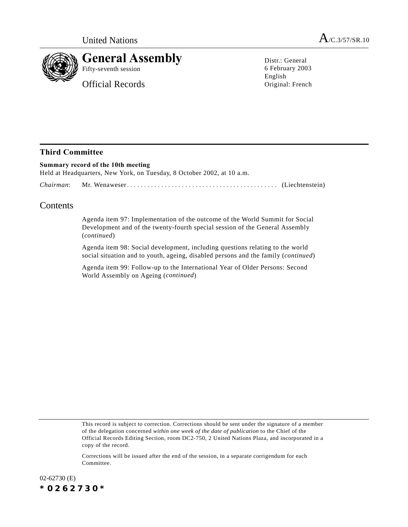

Official Records

Distr.: General 6 February 2003 English Original: French

## **Third Committee**

## **Summary record of the 10th meeting** Held at Headquarters, New York, on Tuesday, 8 October 2002, at 10 a.m. *Chairman*: Mr. Wenaweser............................................ (Liechtenstein)

## **Contents**

Agenda item 97: Implementation of the outcome of the World Summit for Social Development and of the twenty-fourth special session of the General Assembly (*continued*)

Agenda item 98: Social development, including questions relating to the world social situation and to youth, ageing, disabled persons and the family (*continued*)

Agenda item 99: Follow-up to the International Year of Older Persons: Second World Assembly on Ageing (*continued*)

This record is subject to correction. Corrections should be sent under the signature of a member of the delegation concerned *within one week of the date of publication* to the Chief of the Official Records Editing Section, room DC2-750, 2 United Nations Plaza, and incorporated in a copy of the record.

Corrections will be issued after the end of the session, in a separate corrigendum for each Committee.

02-62730 (E) *\*0262730\**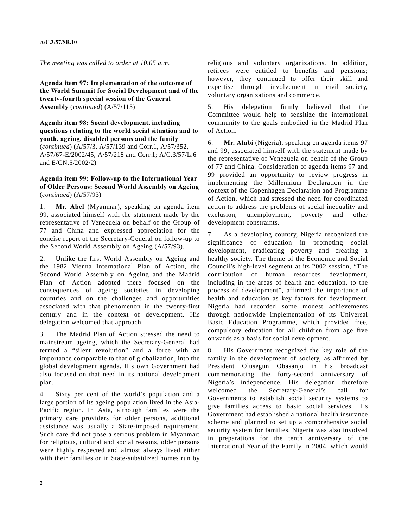*The meeting was called to order at 10.05 a.m.*

**Agenda item 97: Implementation of the outcome of the World Summit for Social Development and of the twenty-fourth special session of the General Assembly** (*continued*) (A/57/115)

**Agenda item 98: Social development, including questions relating to the world social situation and to youth, ageing, disabled persons and the family** (*continued*) (A/57/3, A/57/139 and Corr.1, A/57/352, A/57/67-E/2002/45, A/57/218 and Corr.1; A/C.3/57/L.6 and E/CN.5/2002/2)

**Agenda item 99: Follow-up to the International Year of Older Persons: Second World Assembly on Ageing** (*continued*) (A/57/93)

1. **Mr. Abel** (Myanmar), speaking on agenda item 99, associated himself with the statement made by the representative of Venezuela on behalf of the Group of 77 and China and expressed appreciation for the concise report of the Secretary-General on follow-up to the Second World Assembly on Ageing (A/57/93).

2. Unlike the first World Assembly on Ageing and the 1982 Vienna International Plan of Action, the Second World Assembly on Ageing and the Madrid Plan of Action adopted there focused on the consequences of ageing societies in developing countries and on the challenges and opportunities associated with that phenomenon in the twenty-first century and in the context of development. His delegation welcomed that approach.

3. The Madrid Plan of Action stressed the need to mainstream ageing, which the Secretary-General had termed a "silent revolution" and a force with an importance comparable to that of globalization, into the global development agenda. His own Government had also focused on that need in its national development plan.

4. Sixty per cent of the world's population and a large portion of its ageing population lived in the Asia-Pacific region. In Asia, although families were the primary care providers for older persons, additional assistance was usually a State-imposed requirement. Such care did not pose a serious problem in Myanmar; for religious, cultural and social reasons, older persons were highly respected and almost always lived either with their families or in State-subsidized homes run by

religious and voluntary organizations. In addition, retirees were entitled to benefits and pensions; however, they continued to offer their skill and expertise through involvement in civil society, voluntary organizations and commerce.

5. His delegation firmly believed that the Committee would help to sensitize the international community to the goals embodied in the Madrid Plan of Action.

6. **Mr. Alabi** (Nigeria), speaking on agenda items 97 and 99, associated himself with the statement made by the representative of Venezuela on behalf of the Group of 77 and China. Consideration of agenda items 97 and 99 provided an opportunity to review progress in implementing the Millennium Declaration in the context of the Copenhagen Declaration and Programme of Action, which had stressed the need for coordinated action to address the problems of social inequality and exclusion, unemployment, poverty and other development constraints.

7. As a developing country, Nigeria recognized the significance of education in promoting social development, eradicating poverty and creating a healthy society. The theme of the Economic and Social Council's high-level segment at its 2002 session, "The contribution of human resources development, including in the areas of health and education, to the process of development", affirmed the importance of health and education as key factors for development. Nigeria had recorded some modest achievements through nationwide implementation of its Universal Basic Education Programme, which provided free, compulsory education for all children from age five onwards as a basis for social development.

8. His Government recognized the key role of the family in the development of society, as affirmed by President Olusegun Obasanjo in his broadcast commemorating the forty-second anniversary of Nigeria's independence. His delegation therefore welcomed the Secretary-General's call for Governments to establish social security systems to give families access to basic social services. His Government had established a national health insurance scheme and planned to set up a comprehensive social security system for families. Nigeria was also involved in preparations for the tenth anniversary of the International Year of the Family in 2004, which would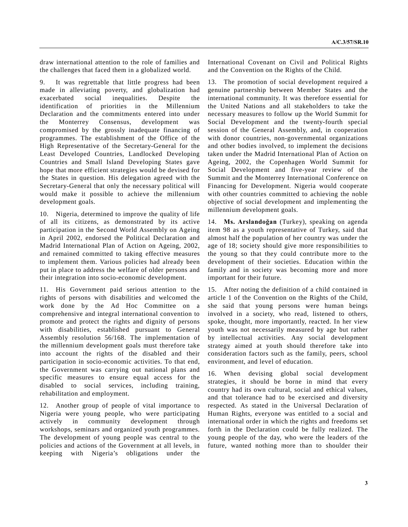draw international attention to the role of families and the challenges that faced them in a globalized world.

9. It was regrettable that little progress had been made in alleviating poverty, and globalization had exacerbated social inequalities. Despite the identification of priorities in the Millennium Declaration and the commitments entered into under the Monterrey Consensus, development was compromised by the grossly inadequate financing of programmes. The establishment of the Office of the High Representative of the Secretary-General for the Least Developed Countries, Landlocked Developing Countries and Small Island Developing States gave hope that more efficient strategies would be devised for the States in question. His delegation agreed with the Secretary-General that only the necessary political will would make it possible to achieve the millennium development goals.

10. Nigeria, determined to improve the quality of life of all its citizens, as demonstrated by its active participation in the Second World Assembly on Ageing in April 2002, endorsed the Political Declaration and Madrid International Plan of Action on Ageing, 2002, and remained committed to taking effective measures to implement them. Various policies had already been put in place to address the welfare of older persons and their integration into socio-economic development.

11. His Government paid serious attention to the rights of persons with disabilities and welcomed the work done by the Ad Hoc Committee on a comprehensive and integral international convention to promote and protect the rights and dignity of persons with disabilities, established pursuant to General Assembly resolution 56/168. The implementation of the millennium development goals must therefore take into account the rights of the disabled and their participation in socio-economic activities. To that end, the Government was carrying out national plans and specific measures to ensure equal access for the disabled to social services, including training, rehabilitation and employment.

12. Another group of people of vital importance to Nigeria were young people, who were participating actively in community development through workshops, seminars and organized youth programmes. The development of young people was central to the policies and actions of the Government at all levels, in keeping with Nigeria's obligations under the

International Covenant on Civil and Political Rights and the Convention on the Rights of the Child.

13. The promotion of social development required a genuine partnership between Member States and the international community. It was therefore essential for the United Nations and all stakeholders to take the necessary measures to follow up the World Summit for Social Development and the twenty-fourth special session of the General Assembly, and, in cooperation with donor countries, non-governmental organizations and other bodies involved, to implement the decisions taken under the Madrid International Plan of Action on Ageing, 2002, the Copenhagen World Summit for Social Development and five-year review of the Summit and the Monterrey International Conference on Financing for Development. Nigeria would cooperate with other countries committed to achieving the noble objective of social development and implementing the millennium development goals.

14. **Ms. Arslandoğan** (Turkey), speaking on agenda item 98 as a youth representative of Turkey, said that almost half the population of her country was under the age of 18; society should give more responsibilities to the young so that they could contribute more to the development of their societies. Education within the family and in society was becoming more and more important for their future.

15. After noting the definition of a child contained in article 1 of the Convention on the Rights of the Child, she said that young persons were human beings involved in a society, who read, listened to others, spoke, thought, more importantly, reacted. In her view youth was not necessarily measured by age but rather by intellectual activities. Any social development strategy aimed at youth should therefore take into consideration factors such as the family, peers, school environment, and level of education.

16. When devising global social development strategies, it should be borne in mind that every country had its own cultural, social and ethical values, and that tolerance had to be exercised and diversity respected. As stated in the Universal Declaration of Human Rights, everyone was entitled to a social and international order in which the rights and freedoms set forth in the Declaration could be fully realized. The young people of the day, who were the leaders of the future, wanted nothing more than to shoulder their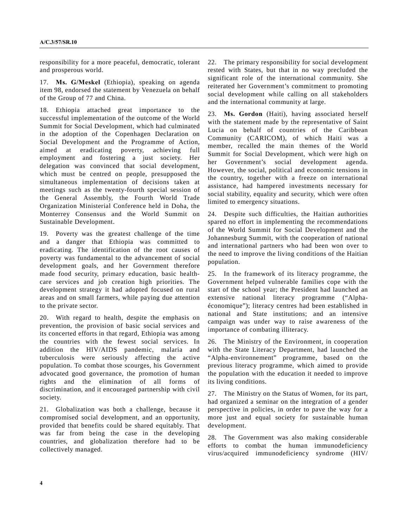## **A/C.3/57/SR.10**

responsibility for a more peaceful, democratic, tolerant and prosperous world.

17. **Ms. G/Meskel** (Ethiopia), speaking on agenda item 98, endorsed the statement by Venezuela on behalf of the Group of 77 and China.

18. Ethiopia attached great importance to the successful implementation of the outcome of the World Summit for Social Development, which had culminated in the adoption of the Copenhagen Declaration on Social Development and the Programme of Action, aimed at eradicating poverty, achieving full employment and fostering a just society. Her delegation was convinced that social development, which must be centred on people, presupposed the simultaneous implementation of decisions taken at meetings such as the twenty-fourth special session of the General Assembly, the Fourth World Trade Organization Ministerial Conference held in Doha, the Monterrey Consensus and the World Summit on Sustainable Development.

19. Poverty was the greatest challenge of the time and a danger that Ethiopia was committed to eradicating. The identification of the root causes of poverty was fundamental to the advancement of social development goals, and her Government therefore made food security, primary education, basic healthcare services and job creation high priorities. The development strategy it had adopted focused on rural areas and on small farmers, while paying due attention to the private sector.

20. With regard to health, despite the emphasis on prevention, the provision of basic social services and its concerted efforts in that regard, Ethiopia was among the countries with the fewest social services. In addition the HIV/AIDS pandemic, malaria and tuberculosis were seriously affecting the active population. To combat those scourges, his Government advocated good governance, the promotion of human rights and the elimination of all forms of discrimination, and it encouraged partnership with civil society.

21. Globalization was both a challenge, because it compromised social development, and an opportunity, provided that benefits could be shared equitably. That was far from being the case in the developing countries, and globalization therefore had to be collectively managed.

22. The primary responsibility for social development rested with States, but that in no way precluded the significant role of the international community. She reiterated her Government's commitment to promoting social development while calling on all stakeholders and the international community at large.

23. **Ms. Gordon** (Haiti), having associated herself with the statement made by the representative of Saint Lucia on behalf of countries of the Caribbean Community (CARICOM), of which Haiti was a member, recalled the main themes of the World Summit for Social Development, which were high on her Government's social development agenda. However, the social, political and economic tensions in the country, together with a freeze on international assistance, had hampered investments necessary for social stability, equality and security, which were often limited to emergency situations.

24. Despite such difficulties, the Haitian authorities spared no effort in implementing the recommendations of the World Summit for Social Development and the Johannesburg Summit, with the cooperation of national and international partners who had been won over to the need to improve the living conditions of the Haitian population.

25. In the framework of its literacy programme, the Government helped vulnerable families cope with the start of the school year; the President had launched an extensive national literacy programme ("Alphaéconomique"); literacy centres had been established in national and State institutions; and an intensive campaign was under way to raise awareness of the importance of combating illiteracy.

26. The Ministry of the Environment, in cooperation with the State Literacy Department, had launched the "Alpha-environnement" programme, based on the previous literacy programme, which aimed to provide the population with the education it needed to improve its living conditions.

27. The Ministry on the Status of Women, for its part, had organized a seminar on the integration of a gender perspective in policies, in order to pave the way for a more just and equal society for sustainable human development.

28. The Government was also making considerable efforts to combat the human immunodeficiency virus/acquired immunodeficiency syndrome (HIV/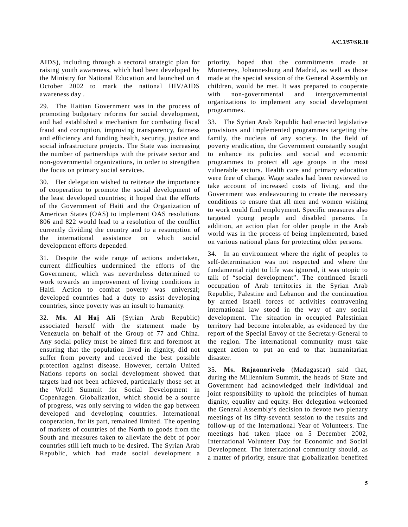AIDS), including through a sectoral strategic plan for raising youth awareness, which had been developed by the Ministry for National Education and launched on 4 October 2002 to mark the national HIV/AIDS awareness day .

29. The Haitian Government was in the process of promoting budgetary reforms for social development, and had established a mechanism for combating fiscal fraud and corruption, improving transparency, fairness and efficiency and funding health, security, justice and social infrastructure projects. The State was increasing the number of partnerships with the private sector and non-governmental organizations, in order to strengthen the focus on primary social services.

30. Her delegation wished to reiterate the importance of cooperation to promote the social development of the least developed countries; it hoped that the efforts of the Government of Haiti and the Organization of American States (OAS) to implement OAS resolutions 806 and 822 would lead to a resolution of the conflict currently dividing the country and to a resumption of the international assistance on which social development efforts depended.

31. Despite the wide range of actions undertaken, current difficulties undermined the efforts of the Government, which was nevertheless determined to work towards an improvement of living conditions in Haiti. Action to combat poverty was universal; developed countries had a duty to assist developing countries, since poverty was an insult to humanity.

32. **Ms. Al Haj Ali** (Syrian Arab Republic) associated herself with the statement made by Venezuela on behalf of the Group of 77 and China. Any social policy must be aimed first and foremost at ensuring that the population lived in dignity, did not suffer from poverty and received the best possible protection against disease. However, certain United Nations reports on social development showed that targets had not been achieved, particularly those set at the World Summit for Social Development in Copenhagen. Globalization, which should be a source of progress, was only serving to widen the gap between developed and developing countries. International cooperation, for its part, remained limited. The opening of markets of countries of the North to goods from the South and measures taken to alleviate the debt of poor countries still left much to be desired. The Syrian Arab Republic, which had made social development a

priority, hoped that the commitments made at Monterrey, Johannesburg and Madrid, as well as those made at the special session of the General Assembly on children, would be met. It was prepared to cooperate with non-governmental and intergovernmental organizations to implement any social development programmes.

33. The Syrian Arab Republic had enacted legislative provisions and implemented programmes targeting the family, the nucleus of any society. In the field of poverty eradication, the Government constantly sought to enhance its policies and social and economic programmes to protect all age groups in the most vulnerable sectors. Health care and primary education were free of charge. Wage scales had been reviewed to take account of increased costs of living, and the Government was endeavouring to create the necessary conditions to ensure that all men and women wishing to work could find employment. Specific measures also targeted young people and disabled persons. In addition, an action plan for older people in the Arab world was in the process of being implemented, based on various national plans for protecting older persons.

34. In an environment where the right of peoples to self-determination was not respected and where the fundamental right to life was ignored, it was utopic to talk of "social development". The continued Israeli occupation of Arab territories in the Syrian Arab Republic, Palestine and Lebanon and the continuation by armed Israeli forces of activities contravening international law stood in the way of any social development. The situation in occupied Palestinian territory had become intolerable, as evidenced by the report of the Special Envoy of the Secretary-General to the region. The international community must take urgent action to put an end to that humanitarian disaster.

35. **Ms. Rajaonarivelo** (Madagascar) said that, during the Millennium Summit, the heads of State and Government had acknowledged their individual and joint responsibility to uphold the principles of human dignity, equality and equity. Her delegation welcomed the General Assembly's decision to devote two plenary meetings of its fifty-seventh session to the results and follow-up of the International Year of Volunteers. The meetings had taken place on 5 December 2002, International Volunteer Day for Economic and Social Development. The international community should, as a matter of priority, ensure that globalization benefited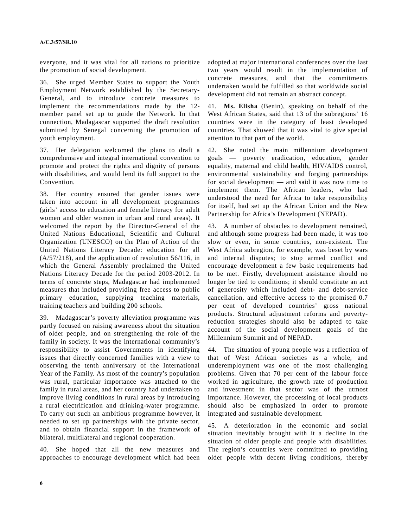everyone, and it was vital for all nations to prioritize the promotion of social development.

36. She urged Member States to support the Youth Employment Network established by the Secretary-General, and to introduce concrete measures to implement the recommendations made by the 12 member panel set up to guide the Network. In that connection, Madagascar supported the draft resolution submitted by Senegal concerning the promotion of youth employment.

37. Her delegation welcomed the plans to draft a comprehensive and integral international convention to promote and protect the rights and dignity of persons with disabilities, and would lend its full support to the Convention.

38. Her country ensured that gender issues were taken into account in all development programmes (girls' access to education and female literacy for adult women and older women in urban and rural areas). It welcomed the report by the Director-General of the United Nations Educational, Scientific and Cultural Organization (UNESCO) on the Plan of Action of the United Nations Literacy Decade: education for all (A/57/218), and the application of resolution 56/116, in which the General Assembly proclaimed the United Nations Literacy Decade for the period 2003-2012. In terms of concrete steps, Madagascar had implemented measures that included providing free access to public primary education, supplying teaching materials, training teachers and building 200 schools.

39. Madagascar's poverty alleviation programme was partly focused on raising awareness about the situation of older people, and on strengthening the role of the family in society. It was the international community's responsibility to assist Governments in identifying issues that directly concerned families with a view to observing the tenth anniversary of the International Year of the Family. As most of the country's population was rural, particular importance was attached to the family in rural areas, and her country had undertaken to improve living conditions in rural areas by introducing a rural electrification and drinking-water programme. To carry out such an ambitious programme however, it needed to set up partnerships with the private sector, and to obtain financial support in the framework of bilateral, multilateral and regional cooperation.

40. She hoped that all the new measures and approaches to encourage development which had been adopted at major international conferences over the last two years would result in the implementation of concrete measures, and that the commitments undertaken would be fulfilled so that worldwide social development did not remain an abstract concept.

41. **Ms. Elisha** (Benin), speaking on behalf of the West African States, said that 13 of the subregions' 16 countries were in the category of least developed countries. That showed that it was vital to give special attention to that part of the world.

42. She noted the main millennium development goals — poverty eradication, education, gender equality, maternal and child health, HIV/AIDS control, environmental sustainability and forging partnerships for social development — and said it was now time to implement them. The African leaders, who had understood the need for Africa to take responsibility for itself, had set up the African Union and the New Partnership for Africa's Development (NEPAD).

43. A number of obstacles to development remained, and although some progress had been made, it was too slow or even, in some countries, non-existent. The West Africa subregion, for example, was beset by wars and internal disputes; to stop armed conflict and encourage development a few basic requirements had to be met. Firstly, development assistance should no longer be tied to conditions; it should constitute an act of generosity which included debt- and debt-service cancellation, and effective access to the promised 0.7 per cent of developed countries' gross national products. Structural adjustment reforms and povertyreduction strategies should also be adapted to take account of the social development goals of the Millennium Summit and of NEPAD.

44. The situation of young people was a reflection of that of West African societies as a whole, and underemployment was one of the most challenging problems. Given that 70 per cent of the labour force worked in agriculture, the growth rate of production and investment in that sector was of the utmost importance. However, the processing of local products should also be emphasized in order to promote integrated and sustainable development.

45. A deterioration in the economic and social situation inevitably brought with it a decline in the situation of older people and people with disabilities. The region's countries were committed to providing older people with decent living conditions, thereby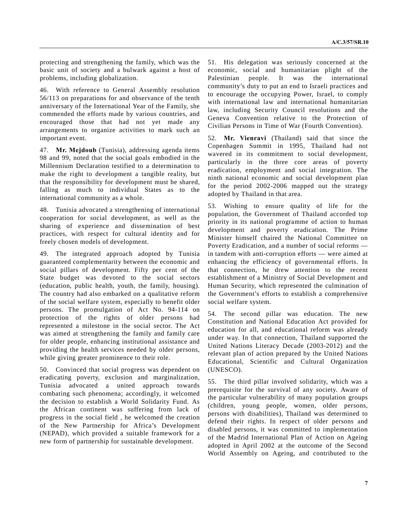protecting and strengthening the family, which was the basic unit of society and a bulwark against a host of problems, including globalization.

46. With reference to General Assembly resolution 56/113 on preparations for and observance of the tenth anniversary of the International Year of the Family, she commended the efforts made by various countries, and encouraged those that had not yet made any arrangements to organize activities to mark such an important event.

47. **Mr. Mejdoub** (Tunisia), addressing agenda items 98 and 99, noted that the social goals embodied in the Millennium Declaration testified to a determination to make the right to development a tangible reality, but that the responsibility for development must be shared, falling as much to individual States as to the international community as a whole.

48. Tunisia advocated a strengthening of international cooperation for social development, as well as the sharing of experience and dissemination of best practices, with respect for cultural identity and for freely chosen models of development.

49. The integrated approach adopted by Tunisia guaranteed complementarity between the economic and social pillars of development. Fifty per cent of the State budget was devoted to the social sectors (education, public health, youth, the family, housing). The country had also embarked on a qualitative reform of the social welfare system, especially to benefit older persons. The promulgation of Act No. 94-114 on protection of the rights of older persons had represented a milestone in the social sector. The Act was aimed at strengthening the family and family care for older people, enhancing institutional assistance and providing the health services needed by older persons, while giving greater prominence to their role.

50. Convinced that social progress was dependent on eradicating poverty, exclusion and marginalization, Tunisia advocated a united approach towards combating such phenomena; accordingly, it welcomed the decision to establish a World Solidarity Fund. As the African continent was suffering from lack of progress in the social field , he welcomed the creation of the New Partnership for Africa's Development (NEPAD), which provided a suitable framework for a new form of partnership for sustainable development.

51. His delegation was seriously concerned at the economic, social and humanitarian plight of the Palestinian people. It was the international community's duty to put an end to Israeli practices and to encourage the occupying Power, Israel, to comply with international law and international humanitarian law, including Security Council resolutions and the Geneva Convention relative to the Protection of Civilian Persons in Time of War (Fourth Convention).

52. **Mr. Vienravi** (Thailand) said that since the Copenhagen Summit in 1995, Thailand had not wavered in its commitment to social development, particularly in the three core areas of poverty eradication, employment and social integration. The ninth national economic and social development plan for the period 2002-2006 mapped out the strategy adopted by Thailand in that area.

53. Wishing to ensure quality of life for the population, the Government of Thailand accorded top priority in its national programme of action to human development and poverty eradication. The Prime Minister himself chaired the National Committee on Poverty Eradication, and a number of social reforms in tandem with anti-corruption efforts — were aimed at enhancing the efficiency of governmental efforts. In that connection, he drew attention to the recent establishment of a Ministry of Social Development and Human Security, which represented the culmination of the Government's efforts to establish a comprehensive social welfare system.

54. The second pillar was education. The new Constitution and National Education Act provided for education for all, and educational reform was already under way. In that connection, Thailand supported the United Nations Literacy Decade (2003-2012) and the relevant plan of action prepared by the United Nations Educational, Scientific and Cultural Organization (UNESCO).

55. The third pillar involved solidarity, which was a prerequisite for the survival of any society. Aware of the particular vulnerability of many population groups (children, young people, women, older persons, persons with disabilities), Thailand was determined to defend their rights. In respect of older persons and disabled persons, it was committed to implementation of the Madrid International Plan of Action on Ageing adopted in April 2002 at the outcome of the Second World Assembly on Ageing, and contributed to the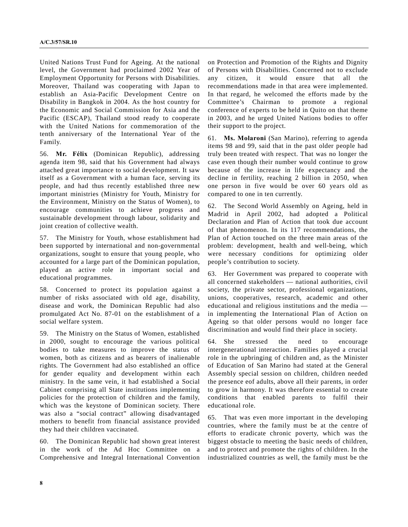United Nations Trust Fund for Ageing. At the national level, the Government had proclaimed 2002 Year of Employment Opportunity for Persons with Disabilities. Moreover, Thailand was cooperating with Japan to establish an Asia-Pacific Development Centre on Disability in Bangkok in 2004. As the host country for the Economic and Social Commission for Asia and the Pacific (ESCAP), Thailand stood ready to cooperate with the United Nations for commemoration of the tenth anniversary of the International Year of the Family.

56. **Mr. FÈlix** (Dominican Republic), addressing agenda item 98, said that his Government had always attached great importance to social development. It saw itself as a Government with a human face, serving its people, and had thus recently established three new important ministries (Ministry for Youth, Ministry for the Environment, Ministry on the Status of Women), to encourage communities to achieve progress and sustainable development through labour, solidarity and joint creation of collective wealth.

57. The Ministry for Youth, whose establishment had been supported by international and non-governmental organizations, sought to ensure that young people, who accounted for a large part of the Dominican population, played an active role in important social and educational programmes.

58. Concerned to protect its population against a number of risks associated with old age, disability, disease and work, the Dominican Republic had also promulgated Act No. 87-01 on the establishment of a social welfare system.

59. The Ministry on the Status of Women, established in 2000, sought to encourage the various political bodies to take measures to improve the status of women, both as citizens and as bearers of inalienable rights. The Government had also established an office for gender equality and development within each ministry. In the same vein, it had established a Social Cabinet comprising all State institutions implementing policies for the protection of children and the family, which was the keystone of Dominican society. There was also a "social contract" allowing disadvantaged mothers to benefit from financial assistance provided they had their children vaccinated.

60. The Dominican Republic had shown great interest in the work of the Ad Hoc Committee on a Comprehensive and Integral International Convention

on Protection and Promotion of the Rights and Dignity of Persons with Disabilities. Concerned not to exclude any citizen, it would ensure that all the recommendations made in that area were implemented. In that regard, he welcomed the efforts made by the Committee's Chairman to promote a regional conference of experts to be held in Quito on that theme in 2003, and he urged United Nations bodies to offer their support to the project.

61. **Ms. Molaroni** (San Marino), referring to agenda items 98 and 99, said that in the past older people had truly been treated with respect. That was no longer the case even though their number would continue to grow because of the increase in life expectancy and the decline in fertility, reaching 2 billion in 2050, when one person in five would be over 60 years old as compared to one in ten currently.

62. The Second World Assembly on Ageing, held in Madrid in April 2002, had adopted a Political Declaration and Plan of Action that took due account of that phenomenon. In its 117 recommendations, the Plan of Action touched on the three main areas of the problem: development, health and well-being, which were necessary conditions for optimizing older people's contribution to society.

63. Her Government was prepared to cooperate with all concerned stakeholders — national authorities, civil society, the private sector, professional organizations, unions, cooperatives, research, academic and other educational and religious institutions and the media in implementing the International Plan of Action on Ageing so that older persons would no longer face discrimination and would find their place in society.

64. She stressed the need to encourage intergenerational interaction. Families played a crucial role in the upbringing of children and, as the Minister of Education of San Marino had stated at the General Assembly special session on children, children needed the presence eof adults, above all their parents, in order to grow in harmony. It was therefore essential to create conditions that enabled parents to fulfil their educational role.

65. That was even more important in the developing countries, where the family must be at the centre of efforts to eradicate chronic poverty, which was the biggest obstacle to meeting the basic needs of children, and to protect and promote the rights of children. In the industrialized countries as well, the family must be the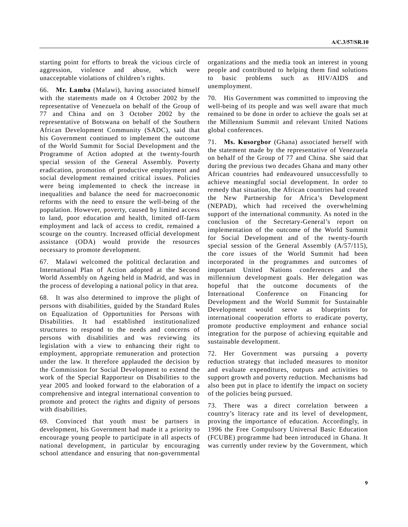starting point for efforts to break the vicious circle of aggression, violence and abuse, which were unacceptable violations of children's rights.

66. **Mr. Lamba** (Malawi), having associated himself with the statements made on 4 October 2002 by the representative of Venezuela on behalf of the Group of 77 and China and on 3 October 2002 by the representative of Botswana on behalf of the Southern African Development Community (SADC), said that his Government continued to implement the outcome of the World Summit for Social Development and the Programme of Action adopted at the twenty-fourth special session of the General Assembly. Poverty eradication, promotion of productive employment and social development remained critical issues. Policies were being implemented to check the increase in inequalities and balance the need for macroeconomic reforms with the need to ensure the well-being of the population. However, poverty, caused by limited access to land, poor education and health, limited off-farm employment and lack of access to credit, remained a scourge on the country. Increased official development assistance (ODA) would provide the resources necessary to promote development.

67. Malawi welcomed the political declaration and International Plan of Action adopted at the Second World Assembly on Ageing held in Madrid, and was in the process of developing a national policy in that area.

68. It was also determined to improve the plight of persons with disabilities, guided by the Standard Rules on Equalization of Opportunities for Persons with Disabilities. It had established institutionalized structures to respond to the needs and concerns of persons with disabilities and was reviewing its legislation with a view to enhancing their right to employment, appropriate remuneration and protection under the law. It therefore applauded the decision by the Commission for Social Development to extend the work of the Special Rapporteur on Disabilities to the year 2005 and looked forward to the elaboration of a comprehensive and integral international convention to promote and protect the rights and dignity of persons with disabilities.

69. Convinced that youth must be partners in development, his Government had made it a priority to encourage young people to participate in all aspects of national development, in particular by encouraging school attendance and ensuring that non-governmental

organizations and the media took an interest in young people and contributed to helping them find solutions to basic problems such as HIV/AIDS and unemployment.

70. His Government was committed to improving the well-being of its people and was well aware that much remained to be done in order to achieve the goals set at the Millennium Summit and relevant United Nations global conferences.

71. **Ms. Kusorgbor** (Ghana) associated herself with the statement made by the representative of Venezuela on behalf of the Group of 77 and China. She said that during the previous two decades Ghana and many other African countries had endeavoured unsuccessfully to achieve meaningful social development. In order to remedy that situation, the African countries had created the New Partnership for Africa's Development (NEPAD), which had received the overwhelming support of the international community. As noted in the conclusion of the Secretary-General's report on implementation of the outcome of the World Summit for Social Development and of the twenty-fourth special session of the General Assembly (A/57/115), the core issues of the World Summit had been incorporated in the programmes and outcomes of important United Nations conferences and the millennium development goals. Her delegation was hopeful that the outcome documents of the International Conference on Financing for Development and the World Summit for Sustainable Development would serve as blueprints for international cooperation efforts to eradicate poverty, promote productive employment and enhance social integration for the purpose of achieving equitable and sustainable development.

72. Her Government was pursuing a poverty reduction strategy that included measures to monitor and evaluate expenditures, outputs and activities to support growth and poverty reduction. Mechanisms had also been put in place to identify the impact on society of the policies being pursued.

73. There was a direct correlation between a country's literacy rate and its level of development, proving the importance of education. Accordingly, in 1996 the Free Compulsory Universal Basic Education (FCUBE) programme had been introduced in Ghana. It was currently under review by the Government, which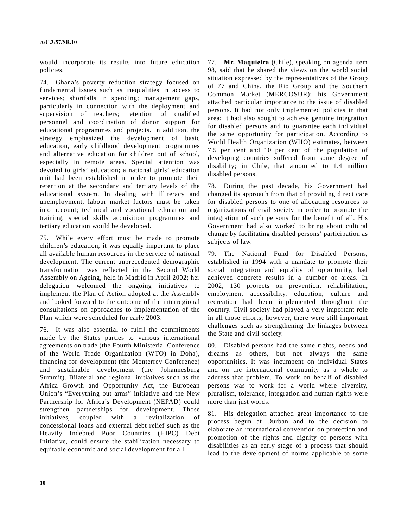would incorporate its results into future education policies.

74. Ghana's poverty reduction strategy focused on fundamental issues such as inequalities in access to services; shortfalls in spending; management gaps, particularly in connection with the deployment and supervision of teachers; retention of qualified personnel and coordination of donor support for educational programmes and projects. In addition, the strategy emphasized the development of basic education, early childhood development programmes and alternative education for children out of school, especially in remote areas. Special attention was devoted to girls' education; a national girls' education unit had been established in order to promote their retention at the secondary and tertiary levels of the educational system. In dealing with illiteracy and unemployment, labour market factors must be taken into account; technical and vocational education and training, special skills acquisition programmes and tertiary education would be developed.

75. While every effort must be made to promote children's education, it was equally important to place all available human resources in the service of national development. The current unprecedented demographic transformation was reflected in the Second World Assembly on Ageing, held in Madrid in April 2002; her delegation welcomed the ongoing initiatives to implement the Plan of Action adopted at the Assembly and looked forward to the outcome of the interregional consultations on approaches to implementation of the Plan which were scheduled for early 2003.

76. It was also essential to fulfil the commitments made by the States parties to various international agreements on trade (the Fourth Ministerial Conference of the World Trade Organization (WTO) in Doha), financing for development (the Monterrey Conference) and sustainable development (the Johannesburg Summit). Bilateral and regional initiatives such as the Africa Growth and Opportunity Act, the European Union's "Everything but arms" initiative and the New Partnership for Africa's Development (NEPAD) could strengthen partnerships for development. Those initiatives, coupled with a revitalization of concessional loans and external debt relief such as the Heavily Indebted Poor Countries (HIPC) Debt Initiative, could ensure the stabilization necessary to equitable economic and social development for all.

77. **Mr. Maquieira** (Chile), speaking on agenda item 98, said that he shared the views on the world social situation expressed by the representatives of the Group of 77 and China, the Rio Group and the Southern Common Market (MERCOSUR); his Government attached particular importance to the issue of disabled persons. It had not only implemented policies in that area; it had also sought to achieve genuine integration for disabled persons and to guarantee each individual the same opportunity for participation. According to World Health Organization (WHO) estimates, between 7.5 per cent and 10 per cent of the population of developing countries suffered from some degree of disability; in Chile, that amounted to 1.4 million disabled persons.

78. During the past decade, his Government had changed its approach from that of providing direct care for disabled persons to one of allocating resources to organizations of civil society in order to promote the integration of such persons for the benefit of all. His Government had also worked to bring about cultural change by facilitating disabled persons' participation as subjects of law.

79. The National Fund for Disabled Persons, established in 1994 with a mandate to promote their social integration and equality of opportunity, had achieved concrete results in a number of areas. In 2002, 130 projects on prevention, rehabilitation, employment accessibility, education, culture and recreation had been implemented throughout the country. Civil society had played a very important role in all those efforts; however, there were still important challenges such as strengthening the linkages between the State and civil society.

80. Disabled persons had the same rights, needs and dreams as others, but not always the same opportunities. It was incumbent on individual States and on the international community as a whole to address that problem. To work on behalf of disabled persons was to work for a world where diversity, pluralism, tolerance, integration and human rights were more than just words.

81. His delegation attached great importance to the process begun at Durban and to the decision to elaborate an international convention on protection and promotion of the rights and dignity of persons with disabilities as an early stage of a process that should lead to the development of norms applicable to some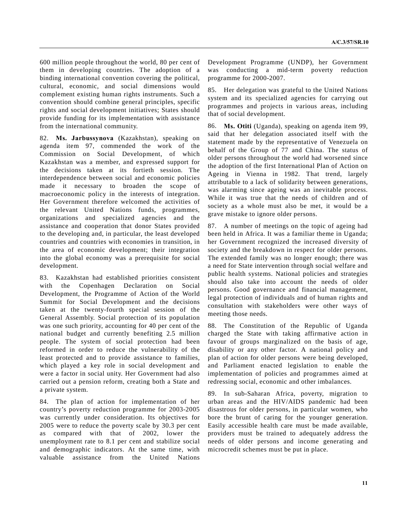600 million people throughout the world, 80 per cent of them in developing countries. The adoption of a binding international convention covering the political, cultural, economic, and social dimensions would complement existing human rights instruments. Such a convention should combine general principles, specific rights and social development initiatives; States should provide funding for its implementation with assistance from the international community.

82. **Ms. Jarbussynova** (Kazakhstan), speaking on agenda item 97, commended the work of the Commission on Social Development, of which Kazakhstan was a member, and expressed support for the decisions taken at its fortieth session. The interdependence between social and economic policies made it necessary to broaden the scope of macroeconomic policy in the interests of integration. Her Government therefore welcomed the activities of the relevant United Nations funds, programmes, organizations and specialized agencies and the assistance and cooperation that donor States provided to the developing and, in particular, the least developed countries and countries with economies in transition, in the area of economic development; their integration into the global economy was a prerequisite for social development.

83. Kazakhstan had established priorities consistent with the Copenhagen Declaration on Social Development, the Programme of Action of the World Summit for Social Development and the decisions taken at the twenty-fourth special session of the General Assembly. Social protection of its population was one such priority, accounting for 40 per cent of the national budget and currently benefiting 2.5 million people. The system of social protection had been reformed in order to reduce the vulnerability of the least protected and to provide assistance to families, which played a key role in social development and were a factor in social unity. Her Government had also carried out a pension reform, creating both a State and a private system.

84. The plan of action for implementation of her country's poverty reduction programme for 2003-2005 was currently under consideration. Its objectives for 2005 were to reduce the poverty scale by 30.3 per cent as compared with that of 2002, lower the unemployment rate to 8.1 per cent and stabilize social and demographic indicators. At the same time, with valuable assistance from the United Nations

Development Programme (UNDP), her Government was conducting a mid-term poverty reduction programme for 2000-2007.

85. Her delegation was grateful to the United Nations system and its specialized agencies for carrying out programmes and projects in various areas, including that of social development.

86. **Ms. Otiti** (Uganda), speaking on agenda item 99, said that her delegation associated itself with the statement made by the representative of Venezuela on behalf of the Group of 77 and China. The status of older persons throughout the world had worsened since the adoption of the first International Plan of Action on Ageing in Vienna in 1982. That trend, largely attributable to a lack of solidarity between generations, was alarming since ageing was an inevitable process. While it was true that the needs of children and of society as a whole must also be met, it would be a grave mistake to ignore older persons.

87. A number of meetings on the topic of ageing had been held in Africa. It was a familiar theme in Uganda; her Government recognized the increased diversity of society and the breakdown in respect for older persons. The extended family was no longer enough; there was a need for State intervention through social welfare and public health systems. National policies and strategies should also take into account the needs of older persons. Good governance and financial management, legal protection of individuals and of human rights and consultation with stakeholders were other ways of meeting those needs.

88. The Constitution of the Republic of Uganda charged the State with taking affirmative action in favour of groups marginalized on the basis of age, disability or any other factor. A national policy and plan of action for older persons were being developed, and Parliament enacted legislation to enable the implementation of policies and programmes aimed at redressing social, economic and other imbalances.

89. In sub-Saharan Africa, poverty, migration to urban areas and the HIV/AIDS pandemic had been disastrous for older persons, in particular women, who bore the brunt of caring for the younger generation. Easily accessible health care must be made available, providers must be trained to adequately address the needs of older persons and income generating and microcredit schemes must be put in place.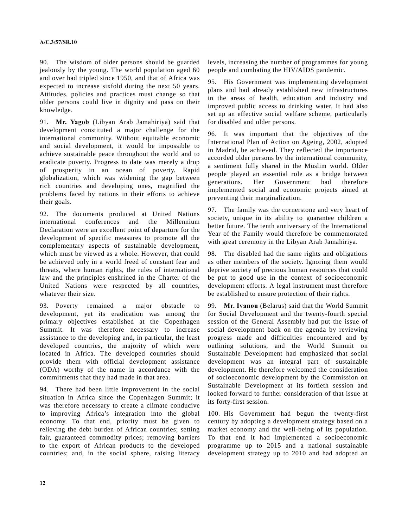90. The wisdom of older persons should be guarded jealously by the young. The world population aged 60 and over had tripled since 1950, and that of Africa was expected to increase sixfold during the next 50 years. Attitudes, policies and practices must change so that older persons could live in dignity and pass on their knowledge.

91. **Mr. Yagob** (Libyan Arab Jamahiriya) said that development constituted a major challenge for the international community. Without equitable economic and social development, it would be impossible to achieve sustainable peace throughout the world and to eradicate poverty. Progress to date was merely a drop of prosperity in an ocean of poverty. Rapid globalization, which was widening the gap between rich countries and developing ones, magnified the problems faced by nations in their efforts to achieve their goals.

92. The documents produced at United Nations international conferences and the Millennium Declaration were an excellent point of departure for the development of specific measures to promote all the complementary aspects of sustainable development, which must be viewed as a whole. However, that could be achieved only in a world freed of constant fear and threats, where human rights, the rules of international law and the principles enshrined in the Charter of the United Nations were respected by all countries, whatever their size.

93. Poverty remained a major obstacle to development, yet its eradication was among the primary objectives established at the Copenhagen Summit. It was therefore necessary to increase assistance to the developing and, in particular, the least developed countries, the majority of which were located in Africa. The developed countries should provide them with official development assistance (ODA) worthy of the name in accordance with the commitments that they had made in that area.

94. There had been little improvement in the social situation in Africa since the Copenhagen Summit; it was therefore necessary to create a climate conducive to improving Africa's integration into the global economy. To that end, priority must be given to relieving the debt burden of African countries; setting fair, guaranteed commodity prices; removing barriers to the export of African products to the developed countries; and, in the social sphere, raising literacy

levels, increasing the number of programmes for young people and combating the HIV/AIDS pandemic.

95. His Government was implementing development plans and had already established new infrastructures in the areas of health, education and industry and improved public access to drinking water. It had also set up an effective social welfare scheme, particularly for disabled and older persons.

96. It was important that the objectives of the International Plan of Action on Ageing, 2002, adopted in Madrid, be achieved. They reflected the importance accorded older persons by the international community, a sentiment fully shared in the Muslim world. Older people played an essential role as a bridge between generations. Her Government had therefore implemented social and economic projects aimed at preventing their marginalization.

97. The family was the cornerstone and very heart of society, unique in its ability to guarantee children a better future. The tenth anniversary of the International Year of the Family would therefore be commemorated with great ceremony in the Libyan Arab Jamahiriya.

98. The disabled had the same rights and obligations as other members of the society. Ignoring them would deprive society of precious human resources that could be put to good use in the context of socioeconomic development efforts. A legal instrument must therefore be established to ensure protection of their rights.

99. **Mr. Ivanou** (Belarus) said that the World Summit for Social Development and the twenty-fourth special session of the General Assembly had put the issue of social development back on the agenda by reviewing progress made and difficulties encountered and by outlining solutions, and the World Summit on Sustainable Development had emphasized that social development was an integral part of sustainable development. He therefore welcomed the consideration of socioeconomic development by the Commission on Sustainable Development at its fortieth session and looked forward to further consideration of that issue at its forty-first session.

100. His Government had begun the twenty-first century by adopting a development strategy based on a market economy and the well-being of its population. To that end it had implemented a socioeconomic programme up to 2015 and a national sustainable development strategy up to 2010 and had adopted an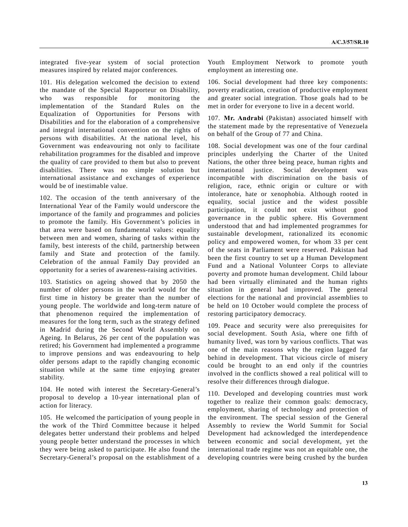integrated five-year system of social protection measures inspired by related major conferences.

101. His delegation welcomed the decision to extend the mandate of the Special Rapporteur on Disability, who was responsible for monitoring the implementation of the Standard Rules on the Equalization of Opportunities for Persons with Disabilities and for the elaboration of a comprehensive and integral international convention on the rights of persons with disabilities. At the national level, his Government was endeavouring not only to facilitate rehabilitation programmes for the disabled and improve the quality of care provided to them but also to prevent disabilities. There was no simple solution but international assistance and exchanges of experience would be of inestimable value.

102. The occasion of the tenth anniversary of the International Year of the Family would underscore the importance of the family and programmes and policies to promote the family. His Government's policies in that area were based on fundamental values: equality between men and women, sharing of tasks within the family, best interests of the child, partnership between family and State and protection of the family. Celebration of the annual Family Day provided an opportunity for a series of awareness-raising activities.

103. Statistics on ageing showed that by 2050 the number of older persons in the world would for the first time in history be greater than the number of young people. The worldwide and long-term nature of that phenomenon required the implementation of measures for the long term, such as the strategy defined in Madrid during the Second World Assembly on Ageing. In Belarus, 26 per cent of the population was retired; his Government had implemented a programme to improve pensions and was endeavouring to help older persons adapt to the rapidly changing economic situation while at the same time enjoying greater stability.

104. He noted with interest the Secretary-General's proposal to develop a 10-year international plan of action for literacy.

105. He welcomed the participation of young people in the work of the Third Committee because it helped delegates better understand their problems and helped young people better understand the processes in which they were being asked to participate. He also found the Secretary-General's proposal on the establishment of a Youth Employment Network to promote youth employment an interesting one.

106. Social development had three key components: poverty eradication, creation of productive employment and greater social integration. Those goals had to be met in order for everyone to live in a decent world.

107. **Mr. Andrabi** (Pakistan) associated himself with the statement made by the representative of Venezuela on behalf of the Group of 77 and China.

108. Social development was one of the four cardinal principles underlying the Charter of the United Nations, the other three being peace, human rights and international justice. Social development was incompatible with discrimination on the basis of religion, race, ethnic origin or culture or with intolerance, hate or xenophobia. Although rooted in equality, social justice and the widest possible participation, it could not exist without good governance in the public sphere. His Government understood that and had implemented programmes for sustainable development, rationalized its economic policy and empowered women, for whom 33 per cent of the seats in Parliament were reserved. Pakistan had been the first country to set up a Human Development Fund and a National Volunteer Corps to alleviate poverty and promote human development. Child labour had been virtually eliminated and the human rights situation in general had improved. The general elections for the national and provincial assemblies to be held on 10 October would complete the process of restoring participatory democracy.

109. Peace and security were also prerequisites for social development. South Asia, where one fifth of humanity lived, was torn by various conflicts. That was one of the main reasons why the region lagged far behind in development. That vicious circle of misery could be brought to an end only if the countries involved in the conflicts showed a real political will to resolve their differences through dialogue.

110. Developed and developing countries must work together to realize their common goals: democracy, employment, sharing of technology and protection of the environment. The special session of the General Assembly to review the World Summit for Social Development had acknowledged the interdependence between economic and social development, yet the international trade regime was not an equitable one, the developing countries were being crushed by the burden